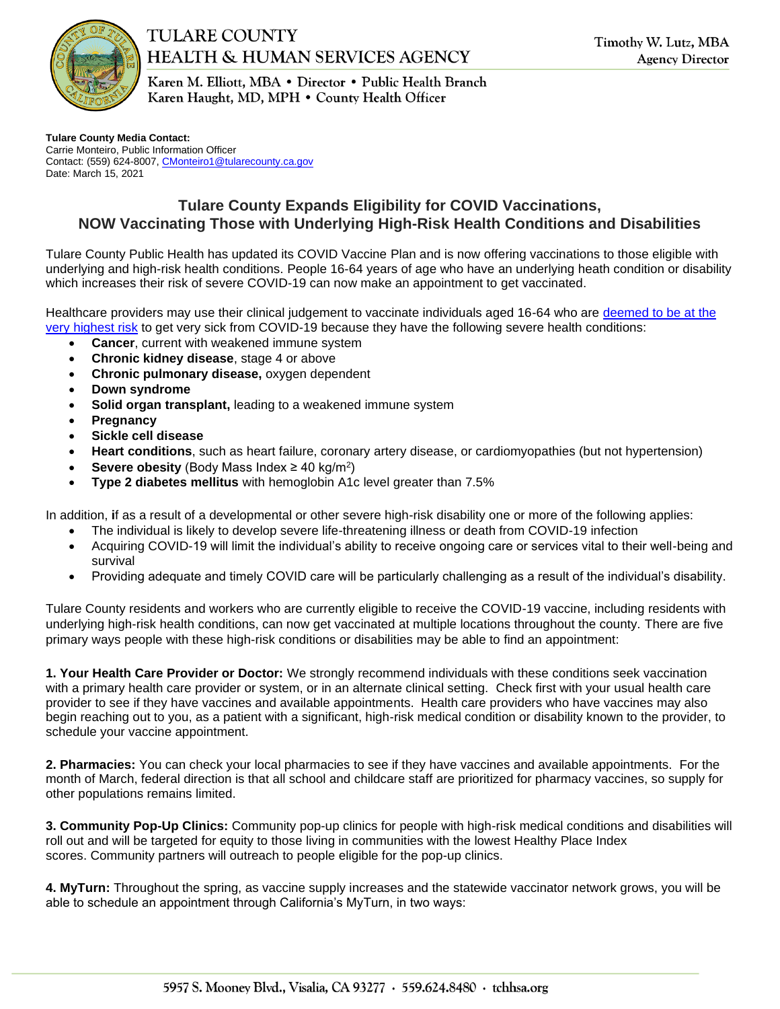

## **TULARE COUNTY HEALTH & HUMAN SERVICES AGENCY**

Karen M. Elliott, MBA • Director • Public Health Branch Karen Haught, MD, MPH . County Health Officer

**Tulare County Media Contact:**  Carrie Monteiro, Public Information Officer Contact: (559) 624-8007[, CMonteiro1@tularecounty.ca.gov](mailto:CMonteiro1@tularecounty.ca.gov) Date: March 15, 2021

## **Tulare County Expands Eligibility for COVID Vaccinations, NOW Vaccinating Those with Underlying High-Risk Health Conditions and Disabilities**

Tulare County Public Health has updated its COVID Vaccine Plan and is now offering vaccinations to those eligible with underlying and high-risk health conditions. People 16-64 years of age who have an underlying heath condition or disability which increases their risk of severe COVID-19 can now make an appointment to get vaccinated.

Healthcare providers may use their clinical judgement to vaccinate individuals aged 16-64 who are [deemed to be at the](https://www.cdph.ca.gov/Programs/CID/DCDC/Pages/COVID-19/Provider-Bulletin-2-12-21.aspx)  [very highest risk](https://www.cdph.ca.gov/Programs/CID/DCDC/Pages/COVID-19/Provider-Bulletin-2-12-21.aspx) to get very sick from COVID-19 because they have the following severe health conditions:

- **Cancer**, current with weakened immune system
- **Chronic kidney disease**, stage 4 or above
- **Chronic pulmonary disease,** oxygen dependent
- **Down syndrome**
- **Solid organ transplant,** leading to a weakened immune system
- **Pregnancy**
- **Sickle cell disease**
- **Heart conditions**, such as heart failure, coronary artery disease, or cardiomyopathies (but not hypertension)
- **Severe obesity** (Body Mass Index ≥ 40 kg/m<sup>2</sup> )
- **Type 2 diabetes mellitus** with hemoglobin A1c level greater than 7.5%

In addition, **i**f as a result of a developmental or other severe high-risk disability one or more of the following applies:

- The individual is likely to develop severe life-threatening illness or death from COVID-19 infection
- Acquiring COVID-19 will limit the individual's ability to receive ongoing care or services vital to their well-being and survival
- Providing adequate and timely COVID care will be particularly challenging as a result of the individual's disability.

Tulare County residents and workers who are currently eligible to receive the COVID-19 vaccine, including residents with underlying high-risk health conditions, can now get vaccinated at multiple locations throughout the county. There are five primary ways people with these high-risk conditions or disabilities may be able to find an appointment:

**1. Your Health Care Provider or Doctor:** We strongly recommend individuals with these conditions seek vaccination with a primary health care provider or system, or in an alternate clinical setting. Check first with your usual health care provider to see if they have vaccines and available appointments. Health care providers who have vaccines may also begin reaching out to you, as a patient with a significant, high-risk medical condition or disability known to the provider, to schedule your vaccine appointment.

**2. Pharmacies:** You can check your local pharmacies to see if they have vaccines and available appointments. For the month of March, federal direction is that all school and childcare staff are prioritized for pharmacy vaccines, so supply for other populations remains limited.

**3. Community Pop-Up Clinics:** Community pop-up clinics for people with high-risk medical conditions and disabilities will roll out and will be targeted for equity to those living in communities with the lowest Healthy Place Index scores. Community partners will outreach to people eligible for the pop-up clinics.

**4. MyTurn:** Throughout the spring, as vaccine supply increases and the statewide vaccinator network grows, you will be able to schedule an appointment through California's MyTurn, in two ways: